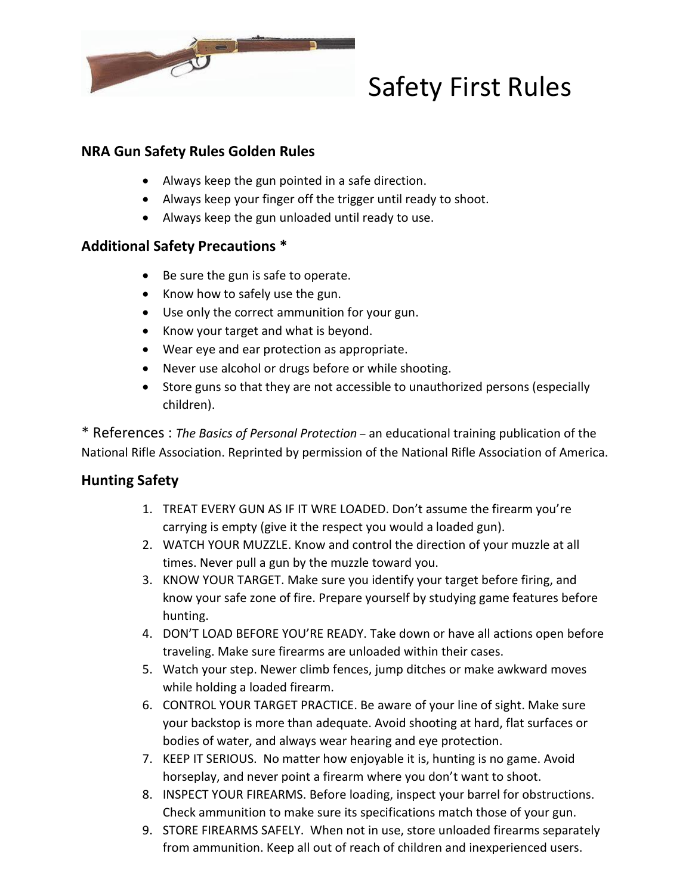

## Safety First Rules

## **NRA Gun Safety Rules Golden Rules**

- Always keep the gun pointed in a safe direction.
- Always keep your finger off the trigger until ready to shoot.
- Always keep the gun unloaded until ready to use.

## **Additional Safety Precautions \***

- Be sure the gun is safe to operate.
- $\bullet$  Know how to safely use the gun.
- Use only the correct ammunition for your gun.
- Know your target and what is beyond.
- Wear eye and ear protection as appropriate.
- Never use alcohol or drugs before or while shooting.
- Store guns so that they are not accessible to unauthorized persons (especially children).

\* References : *The Basics of Personal Protection –* an educational training publication of the National Rifle Association. Reprinted by permission of the National Rifle Association of America.

## **Hunting Safety**

- 1. TREAT EVERY GUN AS IF IT WRE LOADED. Don't assume the firearm you're carrying is empty (give it the respect you would a loaded gun).
- 2. WATCH YOUR MUZZLE. Know and control the direction of your muzzle at all times. Never pull a gun by the muzzle toward you.
- 3. KNOW YOUR TARGET. Make sure you identify your target before firing, and know your safe zone of fire. Prepare yourself by studying game features before hunting.
- 4. DON'T LOAD BEFORE YOU'RE READY. Take down or have all actions open before traveling. Make sure firearms are unloaded within their cases.
- 5. Watch your step. Newer climb fences, jump ditches or make awkward moves while holding a loaded firearm.
- 6. CONTROL YOUR TARGET PRACTICE. Be aware of your line of sight. Make sure your backstop is more than adequate. Avoid shooting at hard, flat surfaces or bodies of water, and always wear hearing and eye protection.
- 7. KEEP IT SERIOUS. No matter how enjoyable it is, hunting is no game. Avoid horseplay, and never point a firearm where you don't want to shoot.
- 8. INSPECT YOUR FIREARMS. Before loading, inspect your barrel for obstructions. Check ammunition to make sure its specifications match those of your gun.
- 9. STORE FIREARMS SAFELY. When not in use, store unloaded firearms separately from ammunition. Keep all out of reach of children and inexperienced users.